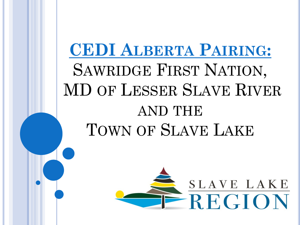**CEDI ALBERTA PAIRING:**  SAWRIDGE FIRST NATION, MD OF LESSER SLAVE RIVER AND THE TOWN OF SLAVE LAKE

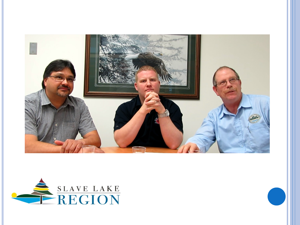

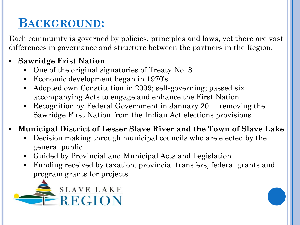### **BACKGROUND:**

Each community is governed by policies, principles and laws, yet there are vast differences in governance and structure between the partners in the Region.

#### • **Sawridge Frist Nation**

- One of the original signatories of Treaty No. 8
- Economic development began in 1970's
- Adopted own Constitution in 2009; self-governing; passed six accompanying Acts to engage and enhance the First Nation
- Recognition by Federal Government in January 2011 removing the Sawridge First Nation from the Indian Act elections provisions

#### • **Municipal District of Lesser Slave River and the Town of Slave Lake**

- Decision making through municipal councils who are elected by the general public
- Guided by Provincial and Municipal Acts and Legislation
- Funding received by taxation, provincial transfers, federal grants and program grants for projects

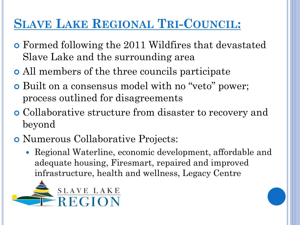# **SLAVE LAKE REGIONAL TRI-COUNCIL:**

- Formed following the 2011 Wildfires that devastated Slave Lake and the surrounding area
- All members of the three councils participate
- Built on a consensus model with no "veto" power; process outlined for disagreements
- Collaborative structure from disaster to recovery and beyond
- Numerous Collaborative Projects:
	- Regional Waterline, economic development, affordable and adequate housing, Firesmart, repaired and improved infrastructure, health and wellness, Legacy Centre

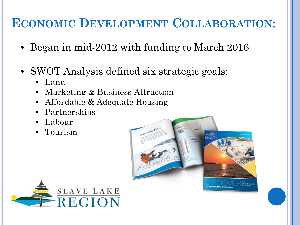# **ECONOMIC DEVELOPMENT COLLABORATION:**

- Began in mid-2012 with funding to March 2016
- SWOT Analysis defined six strategic goals:
	- Land
	- Marketing & Business Attraction
	- Affordable & Adequate Housing
	- Partnerships
	- Labour
	- Tourism



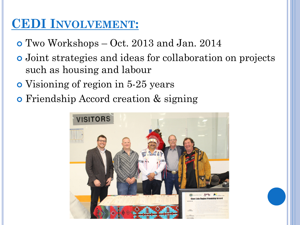## **CEDI INVOLVEMENT:**

- Two Workshops Oct. 2013 and Jan. 2014
- Joint strategies and ideas for collaboration on projects such as housing and labour
- Visioning of region in 5-25 years
- Friendship Accord creation & signing